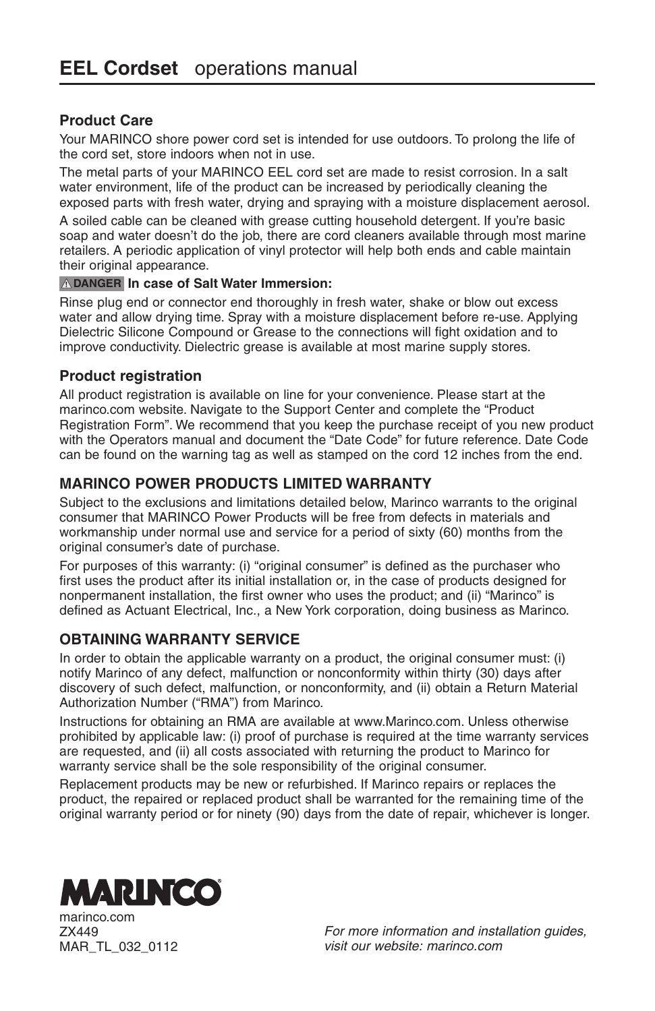## **Product Care**

Your MARINCO shore power cord set is intended for use outdoors. To prolong the life of the cord set, store indoors when not in use.

The metal parts of your MARINCO EEL cord set are made to resist corrosion. In a salt water environment, life of the product can be increased by periodically cleaning the exposed parts with fresh water, drying and spraying with a moisture displacement aerosol.

A soiled cable can be cleaned with grease cutting household detergent. If you're basic soap and water doesn't do the job, there are cord cleaners available through most marine retailers. A periodic application of vinyl protector will help both ends and cable maintain their original appearance.

#### **! DANGER In case of Salt Water Immersion:**

Rinse plug end or connector end thoroughly in fresh water, shake or blow out excess water and allow drying time. Spray with a moisture displacement before re-use. Applying Dielectric Silicone Compound or Grease to the connections will fight oxidation and to improve conductivity. Dielectric grease is available at most marine supply stores.

#### **Product registration**

All product registration is available on line for your convenience. Please start at the marinco.com website. Navigate to the Support Center and complete the "Product Registration Form". We recommend that you keep the purchase receipt of you new product with the Operators manual and document the "Date Code" for future reference. Date Code can be found on the warning tag as well as stamped on the cord 12 inches from the end.

## **MARINCO POWER PRODUCTS LIMITED WARRANTY**

Subject to the exclusions and limitations detailed below, Marinco warrants to the original consumer that MARINCO Power Products will be free from defects in materials and workmanship under normal use and service for a period of sixty (60) months from the original consumer's date of purchase.

For purposes of this warranty: (i) "original consumer" is defined as the purchaser who first uses the product after its initial installation or, in the case of products designed for nonpermanent installation, the first owner who uses the product; and (ii) "Marinco" is defined as Actuant Electrical, Inc., a New York corporation, doing business as Marinco.

## **OBTAINING WARRANTY SERVICE**

In order to obtain the applicable warranty on a product, the original consumer must: (i) notify Marinco of any defect, malfunction or nonconformity within thirty (30) days after discovery of such defect, malfunction, or nonconformity, and (ii) obtain a Return Material Authorization Number ("RMA") from Marinco.

Instructions for obtaining an RMA are available at www.Marinco.com. Unless otherwise prohibited by applicable law: (i) proof of purchase is required at the time warranty services are requested, and (ii) all costs associated with returning the product to Marinco for warranty service shall be the sole responsibility of the original consumer.

Replacement products may be new or refurbished. If Marinco repairs or replaces the product, the repaired or replaced product shall be warranted for the remaining time of the original warranty period or for ninety (90) days from the date of repair, whichever is longer.



marinco.com ZX449 MAR\_TL\_032\_0112

*For more information and installation guides, visit our website: marinco.com*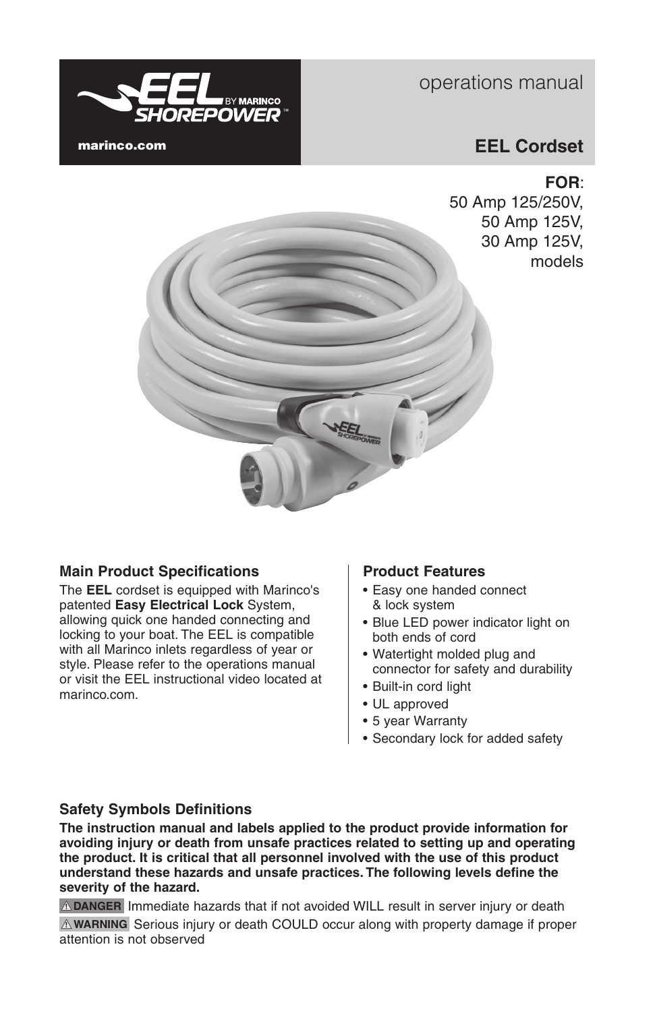

# operations manual

## **EEL Cordset**

## **FOR**:

50 Amp 125/250V, 50 Amp 125V, 30 Amp 125V, models



## **Main Product Specifications**

The **EEL** cordset is equipped with Marinco's patented **Easy Electrical Lock** System, allowing quick one handed connecting and locking to your boat. The EEL is compatible with all Marinco inlets regardless of year or style. Please refer to the operations manual or visit the EEL instructional video located at marinco.com.

## **Product Features**

- Easy one handed connect & lock system
- Blue LED power indicator light on both ends of cord
- • Watertight molded plug and connector for safety and durability
- • Built-in cord light
- • UL approved
- 5 year Warranty
- • Secondary lock for added safety

## **Safety Symbols Definitions**

**The instruction manual and labels applied to the product provide information for avoiding injury or death from unsafe practices related to setting up and operating the product. It is critical that all personnel involved with the use of this product understand these hazards and unsafe practices. The following levels define the severity of the hazard.**

**! DANGER** Immediate hazards that if not avoided WILL result in server injury or death **! WARNING** Serious injury or death COULD occur along with property damage if proper attention is not observed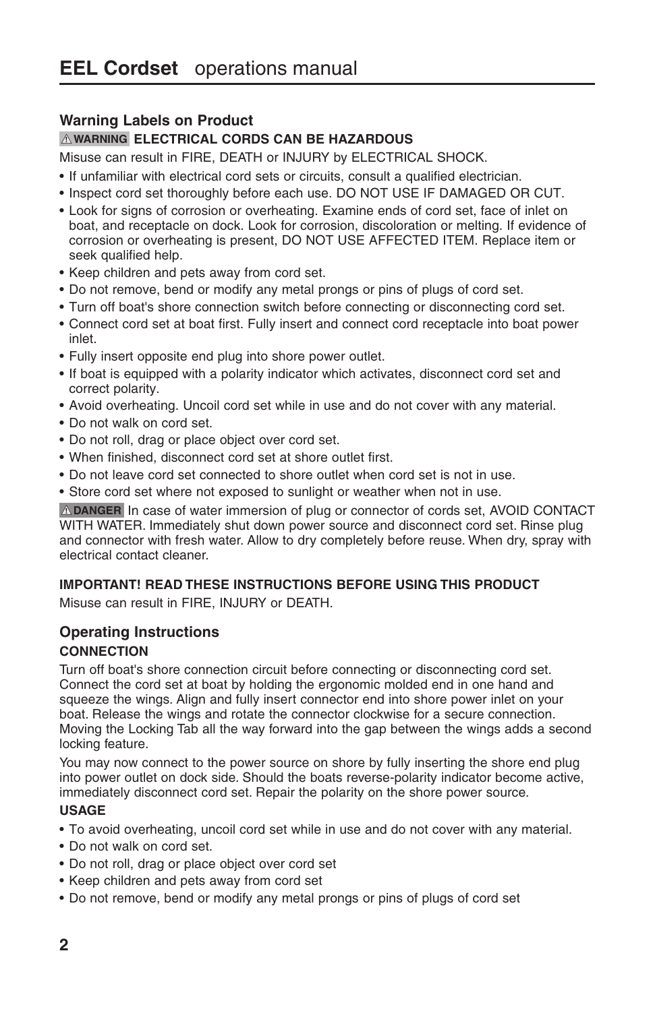## **Warning Labels on Product**

#### **! WARNING ELECTRICAL CORDS CAN BE HAZARDOUS**

Misuse can result in FIRE, DEATH or INJURY by ELECTRICAL SHOCK.

- • If unfamiliar with electrical cord sets or circuits, consult a qualified electrician.
- • Inspect cord set thoroughly before each use. DO NOT USE IF DAMAGED OR CUT.
- • Look for signs of corrosion or overheating. Examine ends of cord set, face of inlet on boat, and receptacle on dock. Look for corrosion, discoloration or melting. If evidence of corrosion or overheating is present, DO NOT USE AFFECTED ITEM. Replace item or seek qualified help.
- Keep children and pets away from cord set.
- • Do not remove, bend or modify any metal prongs or pins of plugs of cord set.
- Turn off boat's shore connection switch before connecting or disconnecting cord set.
- • Connect cord set at boat first. Fully insert and connect cord receptacle into boat power inlet.
- Fully insert opposite end plug into shore power outlet.
- If boat is equipped with a polarity indicator which activates, disconnect cord set and correct polarity.
- • Avoid overheating. Uncoil cord set while in use and do not cover with any material.
- • Do not walk on cord set.
- Do not roll, drag or place object over cord set.
- When finished, disconnect cord set at shore outlet first.
- Do not leave cord set connected to shore outlet when cord set is not in use.
- Store cord set where not exposed to sunlight or weather when not in use.

**! DANGER** In case of water immersion of plug or connector of cords set, AVOID CONTACT WITH WATER. Immediately shut down power source and disconnect cord set. Rinse plug and connector with fresh water. Allow to dry completely before reuse. When dry, spray with electrical contact cleaner.

#### **IMPORTANT! READ THESE INSTRUCTIONS BEFORE USING THIS PRODUCT**

Misuse can result in FIRE, INJURY or DEATH.

#### **Operating Instructions CONNECTION**

Turn off boat's shore connection circuit before connecting or disconnecting cord set. Connect the cord set at boat by holding the ergonomic molded end in one hand and squeeze the wings. Align and fully insert connector end into shore power inlet on your boat. Release the wings and rotate the connector clockwise for a secure connection. Moving the Locking Tab all the way forward into the gap between the wings adds a second locking feature.

You may now connect to the power source on shore by fully inserting the shore end plug into power outlet on dock side. Should the boats reverse-polarity indicator become active, immediately disconnect cord set. Repair the polarity on the shore power source.

#### **USAGE**

- • To avoid overheating, uncoil cord set while in use and do not cover with any material.
- • Do not walk on cord set.
- • Do not roll, drag or place object over cord set
- Keep children and pets away from cord set
- • Do not remove, bend or modify any metal prongs or pins of plugs of cord set